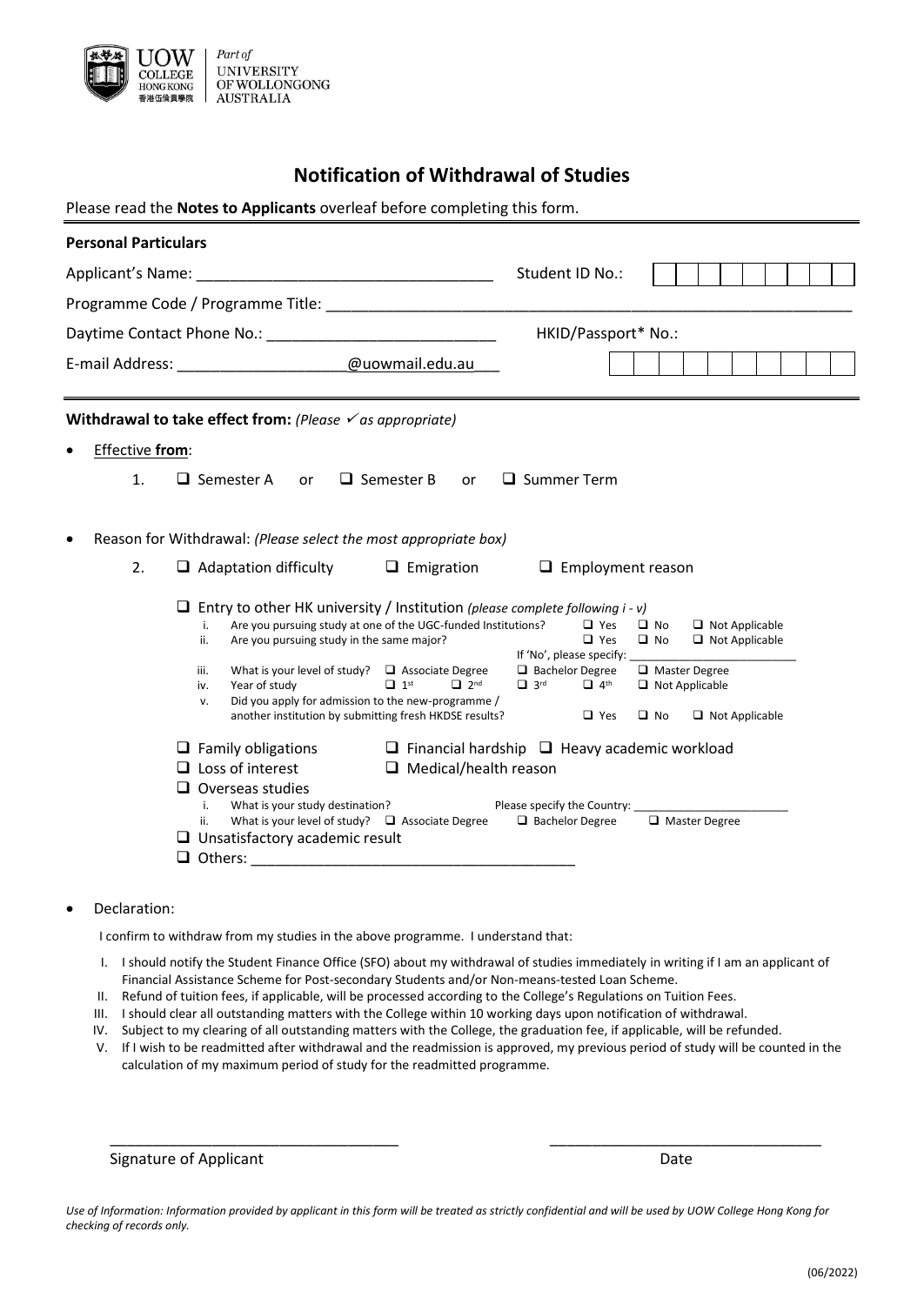

## **Notification of Withdrawal of Studies**

| Please read the Notes to Applicants overleaf before completing this form. |                                                                                                              |                                                          |                                       |  |
|---------------------------------------------------------------------------|--------------------------------------------------------------------------------------------------------------|----------------------------------------------------------|---------------------------------------|--|
| <b>Personal Particulars</b>                                               |                                                                                                              |                                                          |                                       |  |
|                                                                           |                                                                                                              | Student ID No.:                                          |                                       |  |
|                                                                           |                                                                                                              |                                                          |                                       |  |
|                                                                           |                                                                                                              |                                                          |                                       |  |
|                                                                           |                                                                                                              | HKID/Passport* No.:                                      |                                       |  |
|                                                                           | @uowmail.edu.au                                                                                              |                                                          |                                       |  |
| Withdrawal to take effect from: (Please $\checkmark$ as appropriate)      |                                                                                                              |                                                          |                                       |  |
| Effective from:                                                           |                                                                                                              |                                                          |                                       |  |
| 1.<br>$\Box$ Semester A                                                   | $\Box$ Semester B<br>or<br>or                                                                                | $\Box$ Summer Term                                       |                                       |  |
|                                                                           |                                                                                                              |                                                          |                                       |  |
|                                                                           | Reason for Withdrawal: (Please select the most appropriate box)                                              |                                                          |                                       |  |
| 2.<br>$\Box$ Adaptation difficulty                                        | $\Box$ Emigration                                                                                            | $\Box$ Employment reason                                 |                                       |  |
|                                                                           | $\Box$ Entry to other HK university / Institution (please complete following i - v)                          |                                                          |                                       |  |
| i.                                                                        | Are you pursuing study at one of the UGC-funded Institutions?                                                | $\Box$ Yes                                               | $\square$ No<br>$\Box$ Not Applicable |  |
| ii.                                                                       | Are you pursuing study in the same major?                                                                    | $\Box$ Yes<br>If 'No', please specify:                   | $\Box$ Not Applicable<br>$\square$ No |  |
| iii.                                                                      | What is your level of study? $\Box$ Associate Degree                                                         | $\Box$ Bachelor Degree                                   | $\Box$ Master Degree                  |  |
| Year of study<br>iv.                                                      | $\Box$ 1st<br>$\Box$ 2 <sup>nd</sup>                                                                         | $\Box$ 3rd<br>$\Box$ 4 <sup>th</sup>                     | $\Box$ Not Applicable                 |  |
| v.                                                                        | Did you apply for admission to the new-programme /<br>another institution by submitting fresh HKDSE results? | $\Box$ Yes                                               | $\square$ No<br>$\Box$ Not Applicable |  |
| $\Box$ Family obligations                                                 |                                                                                                              | $\Box$ Financial hardship $\Box$ Heavy academic workload |                                       |  |
| $\Box$ Loss of interest                                                   | $\Box$ Medical/health reason                                                                                 |                                                          |                                       |  |
| $\Box$ Overseas studies                                                   |                                                                                                              |                                                          |                                       |  |
| i.                                                                        | What is your study destination?                                                                              | Please specify the Country: ____________                 |                                       |  |
| ii.                                                                       | What is your level of study? $\Box$ Associate Degree                                                         | $\Box$ Bachelor Degree                                   | $\Box$ Master Degree                  |  |
| $\Box$ Unsatisfactory academic result                                     |                                                                                                              |                                                          |                                       |  |
| $\Box$ Others:                                                            |                                                                                                              |                                                          |                                       |  |

Declaration:

I confirm to withdraw from my studies in the above programme. I understand that:

- I. I should notify the Student Finance Office (SFO) about my withdrawal of studies immediately in writing if I am an applicant of Financial Assistance Scheme for Post-secondary Students and/or Non-means-tested Loan Scheme.
- II. Refund of tuition fees, if applicable, will be processed according to the College's Regulations on Tuition Fees.
- III. I should clear all outstanding matters with the College within 10 working days upon notification of withdrawal.
- IV. Subject to my clearing of all outstanding matters with the College, the graduation fee, if applicable, will be refunded.
- V. If I wish to be readmitted after withdrawal and the readmission is approved, my previous period of study will be counted in the calculation of my maximum period of study for the readmitted programme.

\_\_\_\_\_\_\_\_\_\_\_\_\_\_\_\_\_\_\_\_\_\_\_\_\_\_\_\_\_\_\_\_\_\_ \_\_\_\_\_\_\_\_\_\_\_\_\_\_\_\_\_\_\_\_\_\_\_\_\_\_\_\_\_\_\_\_

Signature of Applicant Date Communications and Date Date Date